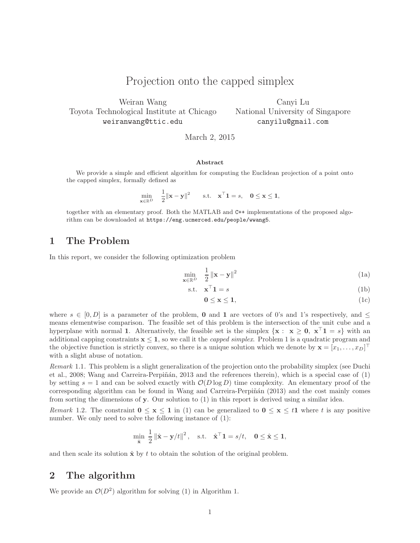# Projection onto the capped simplex

Weiran Wang Toyota Technological Institute at Chicago weiranwang@ttic.edu

Canyi Lu National University of Singapore canyilu@gmail.com

March 2, 2015

#### Abstract

We provide a simple and efficient algorithm for computing the Euclidean projection of a point onto the capped simplex, formally defined as

$$
\min_{\mathbf{x} \in \mathbb{R}^D} \quad \frac{1}{2} ||\mathbf{x} - \mathbf{y}||^2 \qquad \text{s.t.} \quad \mathbf{x}^\top \mathbf{1} = s, \quad \mathbf{0} \le \mathbf{x} \le \mathbf{1},
$$

together with an elementary proof. Both the MATLAB and C++ implementations of the proposed algorithm can be downloaded at https://eng.ucmerced.edu/people/wwang5.

## 1 The Problem

In this report, we consider the following optimization problem

$$
\min_{\mathbf{x} \in \mathbb{R}^D} \quad \frac{1}{2} \left\| \mathbf{x} - \mathbf{y} \right\|^2 \tag{1a}
$$

$$
\text{s.t.} \quad \mathbf{x}^\top \mathbf{1} = s \tag{1b}
$$

$$
0 \le x \le 1,\tag{1c}
$$

where  $s \in [0, D]$  is a parameter of the problem, 0 and 1 are vectors of 0's and 1's respectively, and  $\leq$ means elementwise comparison. The feasible set of this problem is the intersection of the unit cube and a hyperplane with normal 1. Alternatively, the feasible set is the simplex  $\{x : x \ge 0, x^{\top}1 = s\}$  with an additional capping constraints  $x \le 1$ , so we call it the *capped simplex*. Problem 1 is a quadratic program and the objective function is strictly convex, so there is a unique solution which we denote by  $\mathbf{x} = [x_1, \dots, x_D]^\top$ with a slight abuse of notation.

Remark 1.1. This problem is a slight generalization of the projection onto the probability simplex (see Duchi et al., 2008; Wang and Carreira-Perpiñán, 2013 and the references therein), which is a special case of  $(1)$ by setting  $s = 1$  and can be solved exactly with  $\mathcal{O}(D \log D)$  time complexity. An elementary proof of the corresponding algorithm can be found in Wang and Carreira-Perpiñán (2013) and the cost mainly comes from sorting the dimensions of  $\mathbf y$ . Our solution to (1) in this report is derived using a similar idea.

Remark 1.2. The constraint  $0 \le x \le 1$  in (1) can be generalized to  $0 \le x \le t1$  where t is any positive number. We only need to solve the following instance of  $(1)$ :

$$
\min_{\hat{\mathbf{x}}} \ \frac{1}{2} \left\| \hat{\mathbf{x}} - \mathbf{y}/t \right\|^2, \quad \text{s.t.} \quad \hat{\mathbf{x}}^\top \mathbf{1} = s/t, \quad \mathbf{0} \le \hat{\mathbf{x}} \le \mathbf{1},
$$

and then scale its solution  $\hat{x}$  by t to obtain the solution of the original problem.

#### 2 The algorithm

We provide an  $\mathcal{O}(D^2)$  algorithm for solving (1) in Algorithm 1.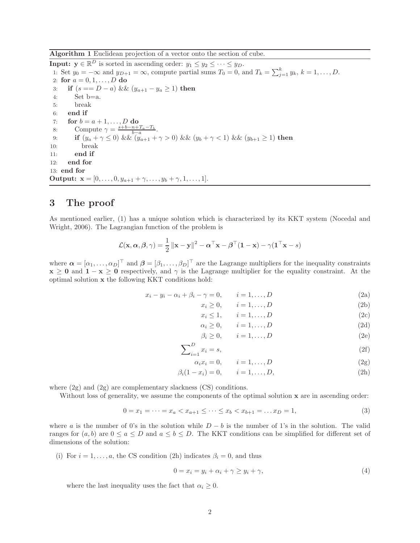Algorithm 1 Euclidean projection of a vector onto the section of cube.

**Input:**  $y \in \mathbb{R}^D$  is sorted in ascending order:  $y_1 \leq y_2 \leq \cdots \leq y_D$ . 1: Set  $y_0 = -\infty$  and  $y_{D+1} = \infty$ , compute partial sums  $T_0 = 0$ , and  $T_k = \sum_{j=1}^k y_k$ ,  $k = 1, \ldots, D$ . 2: for  $a = 0, 1, ..., D$  do 3: if  $(s == D - a)$  &&  $(y_{a+1} - y_a \ge 1)$  then 4: Set b=a. 5: break 6: end if 7: for  $b = a + 1, ..., D$  do 8: Compute  $\gamma = \frac{s+b-n+T_a-T_b}{b-a}.$ 9: **if**  $(y_a + \gamma \le 0)$  &&  $(y_{a+1} + \gamma > 0)$  &&  $(y_b + \gamma < 1)$  &&  $(y_{b+1} \ge 1)$  then 10: break 11: end if 12: end for 13: end for **Output:**  $\mathbf{x} = [0, \dots, 0, y_{a+1} + \gamma, \dots, y_b + \gamma, 1, \dots, 1].$ 

# 3 The proof

As mentioned earlier, (1) has a unique solution which is characterized by its KKT system (Nocedal and Wright, 2006). The Lagrangian function of the problem is

$$
\mathcal{L}(\mathbf{x}, \boldsymbol{\alpha}, \boldsymbol{\beta}, \gamma) = \frac{1}{2} ||\mathbf{x} - \mathbf{y}||^2 - \boldsymbol{\alpha}^\top \mathbf{x} - \boldsymbol{\beta}^\top (\mathbf{1} - \mathbf{x}) - \gamma (\mathbf{1}^\top \mathbf{x} - s)
$$

where  $\boldsymbol{\alpha} = [\alpha_1, \dots, \alpha_D]^\top$  and  $\boldsymbol{\beta} = [\beta_1, \dots, \beta_D]^\top$  are the Lagrange multipliers for the inequality constraints  $x \ge 0$  and  $1 - x \ge 0$  respectively, and  $\gamma$  is the Lagrange multiplier for the equality constraint. At the optimal solution x the following KKT conditions hold:

$$
x_i - y_i - \alpha_i + \beta_i - \gamma = 0, \qquad i = 1, \dots, D
$$
\n
$$
(2a)
$$

$$
x_i \ge 0, \qquad i = 1, \dots, D \tag{2b}
$$

$$
x_i \le 1, \qquad i = 1, \dots, D \tag{2c}
$$

$$
\alpha_i \ge 0, \qquad i = 1, \dots, D \tag{2d}
$$

$$
\beta_i \ge 0, \qquad i = 1, \dots, D \tag{2e}
$$

$$
\sum_{i=1}^{D} x_i = s,\tag{2f}
$$

$$
\alpha_i x_i = 0, \qquad i = 1, \dots, D \tag{2g}
$$

$$
\beta_i(1 - x_i) = 0, \qquad i = 1, ..., D,
$$
\n(2h)

where (2g) and (2g) are complementary slackness (CS) conditions.

Without loss of generality, we assume the components of the optimal solution x are in ascending order:

$$
0 = x_1 = \dots = x_a < x_{a+1} \leq \dots \leq x_b < x_{b+1} = \dots x_D = 1,\tag{3}
$$

where a is the number of 0's in the solution while  $D - b$  is the number of 1's in the solution. The valid ranges for  $(a, b)$  are  $0 \le a \le D$  and  $a \le b \le D$ . The KKT conditions can be simplified for different set of dimensions of the solution:

(i) For  $i = 1, \ldots, a$ , the CS condition (2h) indicates  $\beta_i = 0$ , and thus

$$
0 = x_i = y_i + \alpha_i + \gamma \ge y_i + \gamma,\tag{4}
$$

where the last inequality uses the fact that  $\alpha_i \geq 0$ .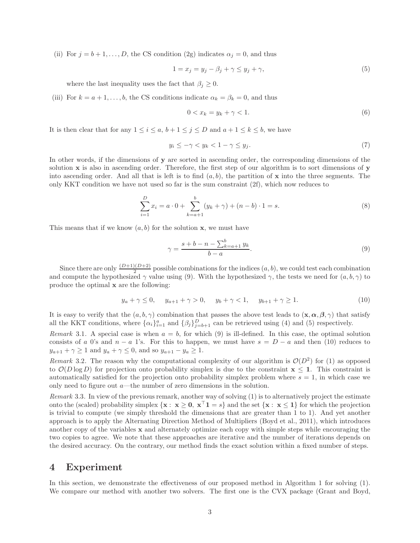(ii) For  $j = b + 1, \ldots, D$ , the CS condition (2g) indicates  $\alpha_j = 0$ , and thus

$$
1 = x_j = y_j - \beta_j + \gamma \le y_j + \gamma,\tag{5}
$$

where the last inequality uses the fact that  $\beta_j \geq 0$ .

(iii) For  $k = a + 1, \ldots, b$ , the CS conditions indicate  $\alpha_k = \beta_k = 0$ , and thus

$$
0 < x_k = y_k + \gamma < 1. \tag{6}
$$

It is then clear that for any  $1 \leq i \leq a, b+1 \leq j \leq D$  and  $a+1 \leq k \leq b$ , we have

$$
y_i \le -\gamma < y_k < 1 - \gamma \le y_j. \tag{7}
$$

In other words, if the dimensions of y are sorted in ascending order, the corresponding dimensions of the solution x is also in ascending order. Therefore, the first step of our algorithm is to sort dimensions of y into ascending order. And all that is left is to find  $(a, b)$ , the partition of x into the three segments. The only KKT condition we have not used so far is the sum constraint (2f), which now reduces to

$$
\sum_{i=1}^{D} x_i = a \cdot 0 + \sum_{k=a+1}^{b} (y_k + \gamma) + (n - b) \cdot 1 = s.
$$
 (8)

This means that if we know  $(a, b)$  for the solution **x**, we must have

$$
\gamma = \frac{s + b - n - \sum_{k=a+1}^{b} y_k}{b - a}.
$$
\n(9)

Since there are only  $\frac{(D+1)(D+2)}{2}$  possible combinations for the indices  $(a, b)$ , we could test each combination and compute the hypothesized  $\gamma$  value using (9). With the hypothesized  $\gamma$ , the tests we need for  $(a, b, \gamma)$  to produce the optimal x are the following:

$$
y_a + \gamma \le 0, \quad y_{a+1} + \gamma > 0, \quad y_b + \gamma < 1, \quad y_{b+1} + \gamma \ge 1.
$$
 (10)

It is easy to verify that the  $(a, b, \gamma)$  combination that passes the above test leads to  $(\mathbf{x}, \alpha, \beta, \gamma)$  that satisfy all the KKT conditions, where  $\{\alpha_i\}_{i=1}^a$  and  $\{\beta_j\}_{j=b+1}^D$  can be retrieved using (4) and (5) respectively.

Remark 3.1. A special case is when  $a = b$ , for which (9) is ill-defined. In this case, the optimal solution consists of a 0's and  $n - a$  1's. For this to happen, we must have  $s = D - a$  and then (10) reduces to  $y_{a+1} + \gamma \ge 1$  and  $y_a + \gamma \le 0$ , and so  $y_{a+1} - y_a \ge 1$ .

Remark 3.2. The reason why the computational complexity of our algorithm is  $\mathcal{O}(D^2)$  for (1) as opposed to  $\mathcal{O}(D \log D)$  for projection onto probability simplex is due to the constraint  $x \leq 1$ . This constraint is automatically satisfied for the projection onto probability simplex problem where  $s = 1$ , in which case we only need to figure out  $a$ —the number of zero dimensions in the solution.

Remark 3.3. In view of the previous remark, another way of solving (1) is to alternatively project the estimate onto the (scaled) probability simplex  $\{x : x \ge 0, x^\top 1 = s\}$  and the set  $\{x : x \le 1\}$  for which the projection is trivial to compute (we simply threshold the dimensions that are greater than 1 to 1). And yet another approach is to apply the Alternating Direction Method of Multipliers (Boyd et al., 2011), which introduces another copy of the variables x and alternately optimize each copy with simple steps while encouraging the two copies to agree. We note that these approaches are iterative and the number of iterations depends on the desired accuracy. On the contrary, our method finds the exact solution within a fixed number of steps.

### 4 Experiment

In this section, we demonstrate the effectiveness of our proposed method in Algorithm 1 for solving (1). We compare our method with another two solvers. The first one is the CVX package (Grant and Boyd,